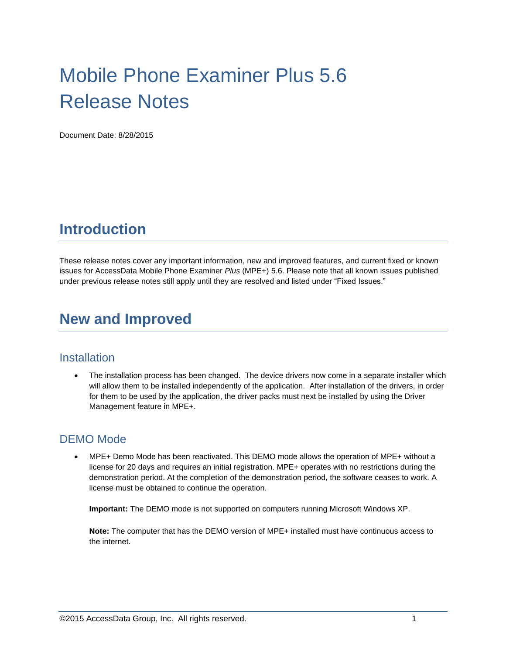# Mobile Phone Examiner Plus 5.6 Release Notes

Document Date: 8/28/2015

### **Introduction**

These release notes cover any important information, new and improved features, and current fixed or known issues for AccessData Mobile Phone Examiner *Plus* (MPE+) 5.6. Please note that all known issues published under previous release notes still apply until they are resolved and listed under "Fixed Issues."

### **New and Improved**

#### **Installation**

• The installation process has been changed. The device drivers now come in a separate installer which will allow them to be installed independently of the application. After installation of the drivers, in order for them to be used by the application, the driver packs must next be installed by using the Driver Management feature in MPE+.

### DEMO Mode

 MPE+ Demo Mode has been reactivated. This DEMO mode allows the operation of MPE+ without a license for 20 days and requires an initial registration. MPE+ operates with no restrictions during the demonstration period. At the completion of the demonstration period, the software ceases to work. A license must be obtained to continue the operation.

**Important:** The DEMO mode is not supported on computers running Microsoft Windows XP.

**Note:** The computer that has the DEMO version of MPE+ installed must have continuous access to the internet.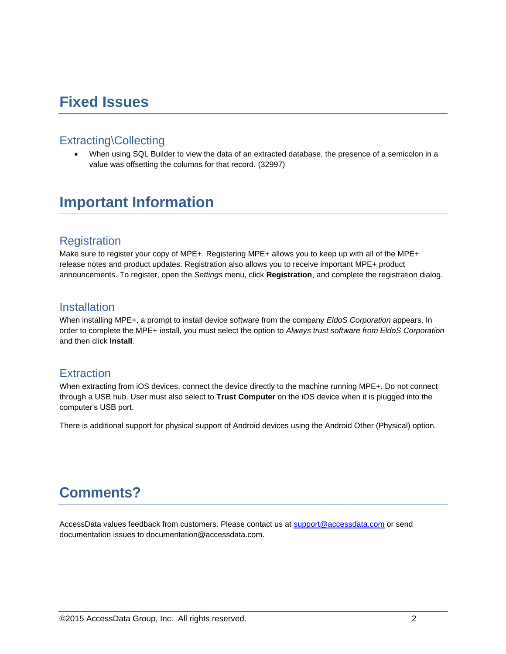### **Fixed Issues**

### Extracting\Collecting

 When using SQL Builder to view the data of an extracted database, the presence of a semicolon in a value was offsetting the columns for that record. (32997)

### **Important Information**

### **Registration**

Make sure to register your copy of MPE+. Registering MPE+ allows you to keep up with all of the MPE+ release notes and product updates. Registration also allows you to receive important MPE+ product announcements. To register, open the *Settings* menu, click **Registration**, and complete the registration dialog.

#### **Installation**

When installing MPE+, a prompt to install device software from the company *EldoS Corporation* appears. In order to complete the MPE+ install, you must select the option to *Always trust software from EldoS Corporation* and then click **Install**.

#### **Extraction**

When extracting from iOS devices, connect the device directly to the machine running MPE+. Do not connect through a USB hub. User must also select to **Trust Computer** on the iOS device when it is plugged into the computer's USB port.

There is additional support for physical support of Android devices using the Android Other (Physical) option.

## **Comments?**

AccessData values feedback from customers. Please contact us at [support@accessdata.com](mailto:support@accessdata.com) or send documentation issues to documentation@accessdata.com.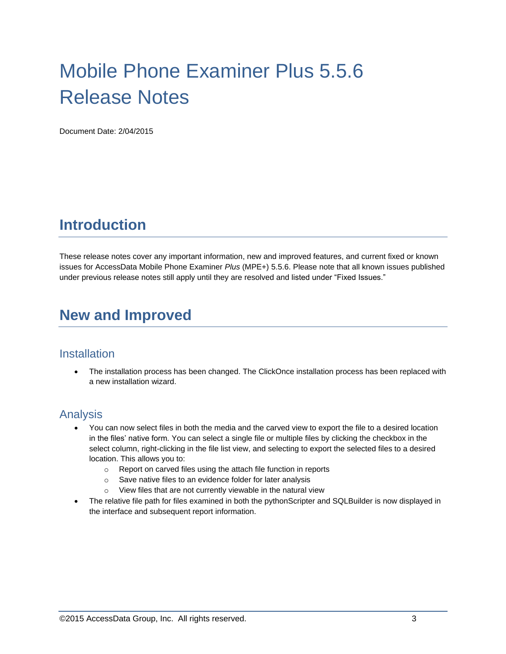# Mobile Phone Examiner Plus 5.5.6 Release Notes

Document Date: 2/04/2015

## **Introduction**

These release notes cover any important information, new and improved features, and current fixed or known issues for AccessData Mobile Phone Examiner *Plus* (MPE+) 5.5.6. Please note that all known issues published under previous release notes still apply until they are resolved and listed under "Fixed Issues."

# **New and Improved**

### **Installation**

• The installation process has been changed. The ClickOnce installation process has been replaced with a new installation wizard.

### Analysis

- You can now select files in both the media and the carved view to export the file to a desired location in the files' native form. You can select a single file or multiple files by clicking the checkbox in the select column, right-clicking in the file list view, and selecting to export the selected files to a desired location. This allows you to:
	- o Report on carved files using the attach file function in reports
	- o Save native files to an evidence folder for later analysis
	- o View files that are not currently viewable in the natural view
- The relative file path for files examined in both the pythonScripter and SQLBuilder is now displayed in the interface and subsequent report information.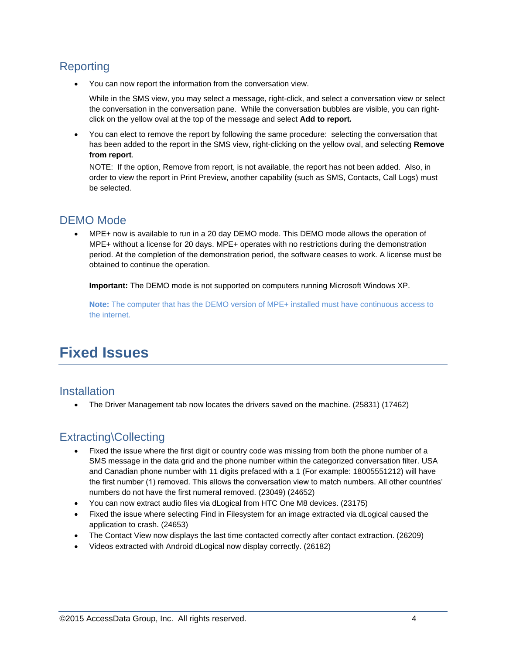### **Reporting**

You can now report the information from the conversation view.

While in the SMS view, you may select a message, right-click, and select a conversation view or select the conversation in the conversation pane. While the conversation bubbles are visible, you can rightclick on the yellow oval at the top of the message and select **Add to report.** 

 You can elect to remove the report by following the same procedure: selecting the conversation that has been added to the report in the SMS view, right-clicking on the yellow oval, and selecting **Remove from report**.

NOTE: If the option, Remove from report, is not available, the report has not been added. Also, in order to view the report in Print Preview, another capability (such as SMS, Contacts, Call Logs) must be selected.

### DEMO Mode

 MPE+ now is available to run in a 20 day DEMO mode. This DEMO mode allows the operation of MPE+ without a license for 20 days. MPE+ operates with no restrictions during the demonstration period. At the completion of the demonstration period, the software ceases to work. A license must be obtained to continue the operation.

**Important:** The DEMO mode is not supported on computers running Microsoft Windows XP.

**Note:** The computer that has the DEMO version of MPE+ installed must have continuous access to the internet.

# **Fixed Issues**

#### **Installation**

The Driver Management tab now locates the drivers saved on the machine. (25831) (17462)

### Extracting\Collecting

- Fixed the issue where the first digit or country code was missing from both the phone number of a SMS message in the data grid and the phone number within the categorized conversation filter. USA and Canadian phone number with 11 digits prefaced with a 1 (For example: 18005551212) will have the first number (1) removed. This allows the conversation view to match numbers. All other countries' numbers do not have the first numeral removed. (23049) (24652)
- You can now extract audio files via dLogical from HTC One M8 devices. (23175)
- Fixed the issue where selecting Find in Filesystem for an image extracted via dLogical caused the application to crash. (24653)
- The Contact View now displays the last time contacted correctly after contact extraction. (26209)
- Videos extracted with Android dLogical now display correctly. (26182)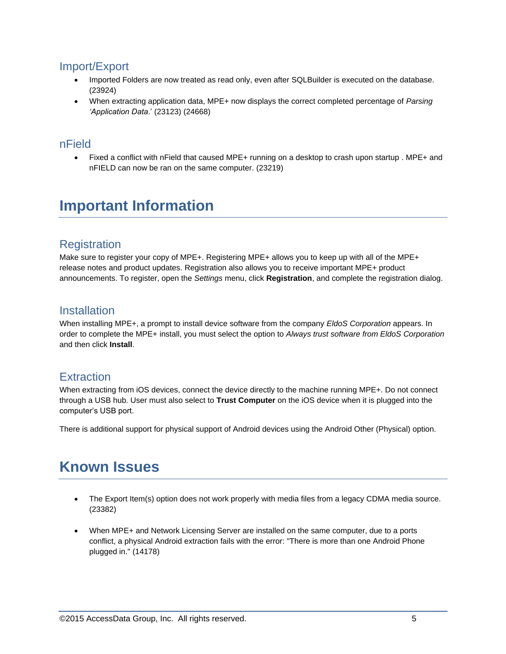#### Import/Export

- Imported Folders are now treated as read only, even after SQLBuilder is executed on the database. (23924)
- When extracting application data, MPE+ now displays the correct completed percentage of *Parsing 'Application Data*.' (23123) (24668)

#### nField

• Fixed a conflict with nField that caused MPE+ running on a desktop to crash upon startup . MPE+ and nFIELD can now be ran on the same computer. (23219)

### **Important Information**

### **Registration**

Make sure to register your copy of MPE+. Registering MPE+ allows you to keep up with all of the MPE+ release notes and product updates. Registration also allows you to receive important MPE+ product announcements. To register, open the *Settings* menu, click **Registration**, and complete the registration dialog.

#### **Installation**

When installing MPE+, a prompt to install device software from the company *EldoS Corporation* appears. In order to complete the MPE+ install, you must select the option to *Always trust software from EldoS Corporation* and then click **Install**.

### **Extraction**

When extracting from iOS devices, connect the device directly to the machine running MPE+. Do not connect through a USB hub. User must also select to **Trust Computer** on the iOS device when it is plugged into the computer's USB port.

There is additional support for physical support of Android devices using the Android Other (Physical) option.

## **Known Issues**

- The Export Item(s) option does not work properly with media files from a legacy CDMA media source. (23382)
- When MPE+ and Network Licensing Server are installed on the same computer, due to a ports conflict, a physical Android extraction fails with the error: "There is more than one Android Phone plugged in." (14178)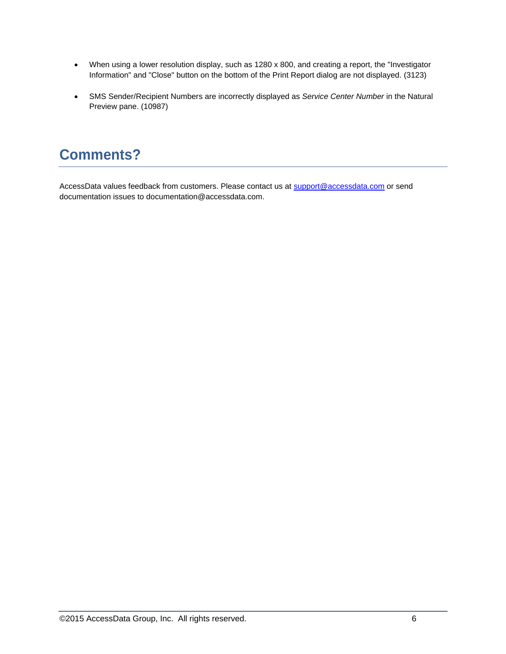- When using a lower resolution display, such as 1280 x 800, and creating a report, the "Investigator Information" and "Close" button on the bottom of the Print Report dialog are not displayed. (3123)
- SMS Sender/Recipient Numbers are incorrectly displayed as *Service Center Number* in the Natural Preview pane. (10987)

# **Comments?**

AccessData values feedback from customers. Please contact us at [support@accessdata.com](mailto:support@accessdata.com) or send documentation issues to documentation@accessdata.com.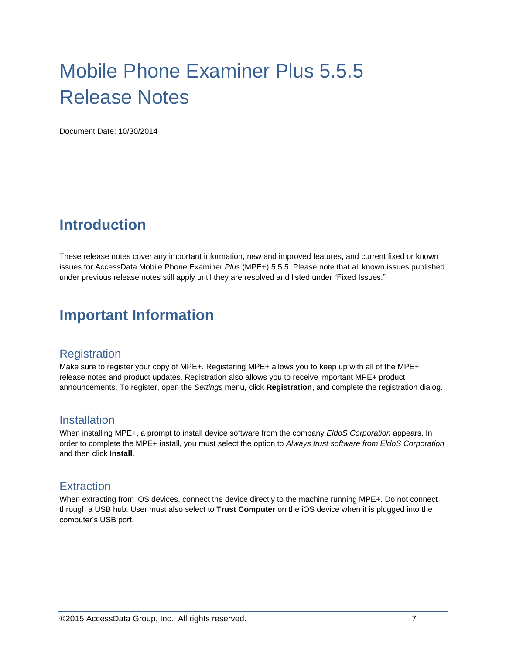# Mobile Phone Examiner Plus 5.5.5 Release Notes

Document Date: 10/30/2014

### **Introduction**

These release notes cover any important information, new and improved features, and current fixed or known issues for AccessData Mobile Phone Examiner *Plus* (MPE+) 5.5.5. Please note that all known issues published under previous release notes still apply until they are resolved and listed under "Fixed Issues."

### **Important Information**

### **Registration**

Make sure to register your copy of MPE+. Registering MPE+ allows you to keep up with all of the MPE+ release notes and product updates. Registration also allows you to receive important MPE+ product announcements. To register, open the *Settings* menu, click **Registration**, and complete the registration dialog.

### **Installation**

When installing MPE+, a prompt to install device software from the company *EldoS Corporation* appears. In order to complete the MPE+ install, you must select the option to *Always trust software from EldoS Corporation* and then click **Install**.

### **Extraction**

When extracting from iOS devices, connect the device directly to the machine running MPE+. Do not connect through a USB hub. User must also select to **Trust Computer** on the iOS device when it is plugged into the computer's USB port.